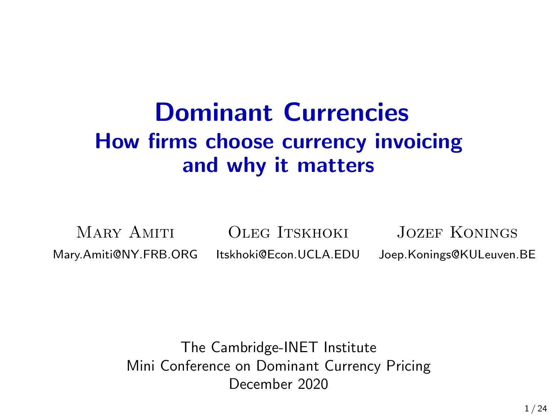## Dominant Currencies How firms choose currency invoicing and why it matters

MARY AMITI OLEG ITSKHOKI JOZEF KONINGS [Mary.Amiti@NY.FRB.ORG](mailto:Mary.Amiti@ny.frb.org) [Itskhoki@Econ.UCLA.EDU](mailto:oitskhoki@gmail.com) [Joep.Konings@KULeuven.BE](mailto:Joep.Konings@kuleuven.be)

> The Cambridge-INET Institute Mini Conference on Dominant Currency Pricing December 2020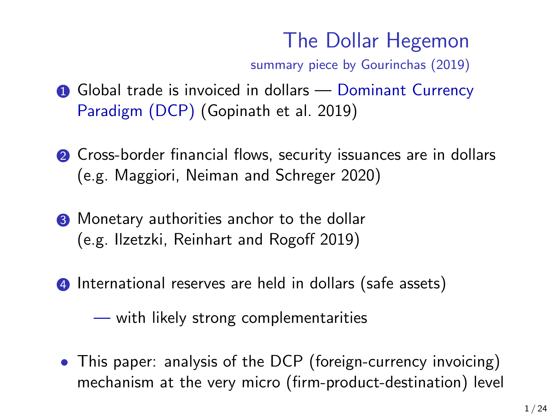## The Dollar Hegemon

summary piece by Gourinchas (2019)

- **1** Global trade is invoiced in dollars Dominant Currency Paradigm (DCP) (Gopinath et al. 2019)
- **2** Cross-border financial flows, security issuances are in dollars (e.g. Maggiori, Neiman and Schreger 2020)
- <sup>3</sup> Monetary authorities anchor to the dollar (e.g. Ilzetzki, Reinhart and Rogoff 2019)
- 4 International reserves are held in dollars (safe assets)

— with likely strong complementarities

• This paper: analysis of the DCP (foreign-currency invoicing) mechanism at the very micro (firm-product-destination) level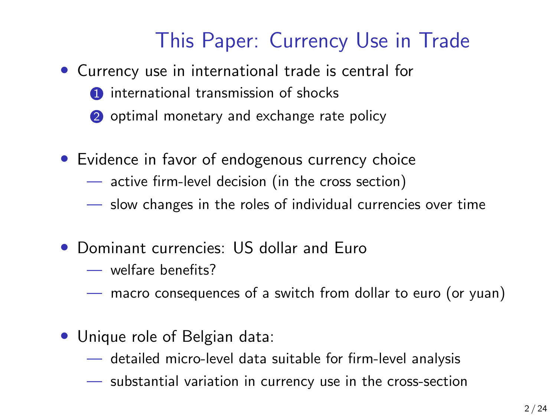### This Paper: Currency Use in Trade

- Currency use in international trade is central for
	- **1** international transmission of shocks
	- 2 optimal monetary and exchange rate policy
- Evidence in favor of endogenous currency choice
	- active firm-level decision (in the cross section)
	- slow changes in the roles of individual currencies over time
- Dominant currencies: US dollar and Euro
	- welfare benefits?
	- macro consequences of a switch from dollar to euro (or yuan)
- Unique role of Belgian data:
	- detailed micro-level data suitable for firm-level analysis
	- substantial variation in currency use in the cross-section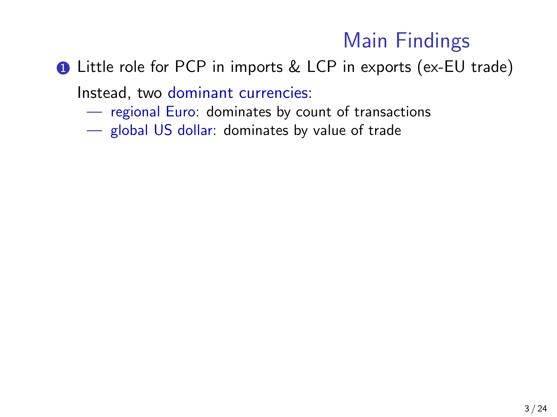### Main Findings

**1** Little role for PCP in imports & LCP in exports (ex-EU trade)

Instead, two dominant currencies:

- regional Euro: dominates by count of transactions
- global US dollar: dominates by value of trade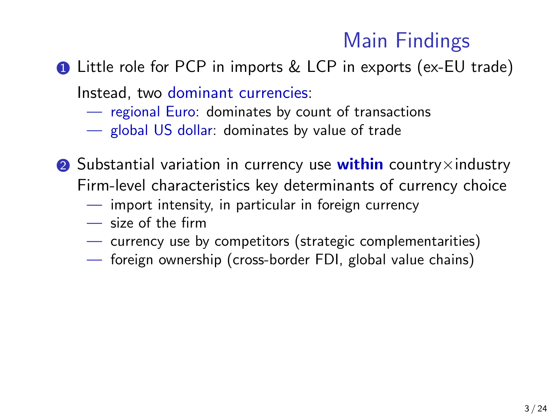### Main Findings

**1** Little role for PCP in imports & LCP in exports (ex-EU trade)

Instead, two dominant currencies:

- regional Euro: dominates by count of transactions
- global US dollar: dominates by value of trade
- 2 Substantial variation in currency use within country $\times$ industry Firm-level characteristics key determinants of currency choice
	- import intensity, in particular in foreign currency
	- size of the firm
	- currency use by competitors (strategic complementarities)
	- foreign ownership (cross-border FDI, global value chains)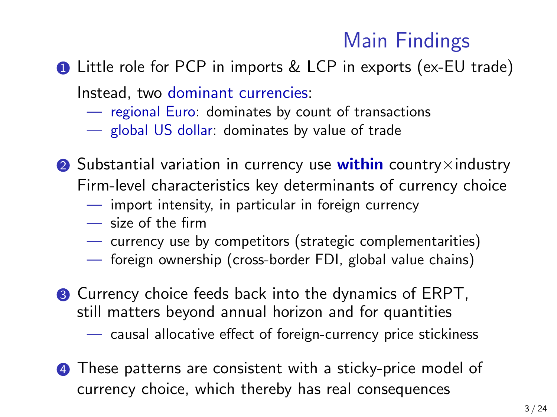### Main Findings

**1** Little role for PCP in imports & LCP in exports (ex-EU trade)

Instead, two dominant currencies:

- regional Euro: dominates by count of transactions
- global US dollar: dominates by value of trade
- 2 Substantial variation in currency use within country $\times$ industry Firm-level characteristics key determinants of currency choice
	- import intensity, in particular in foreign currency
	- size of the firm
	- currency use by competitors (strategic complementarities)
	- foreign ownership (cross-border FDI, global value chains)
- **3** Currency choice feeds back into the dynamics of ERPT, still matters beyond annual horizon and for quantities
	- causal allocative effect of foreign-currency price stickiness
- **4** These patterns are consistent with a sticky-price model of currency choice, which thereby has real consequences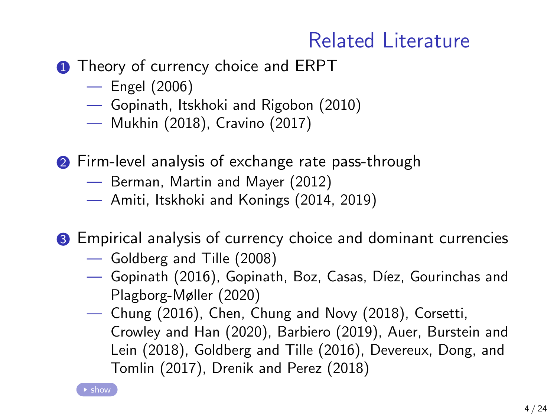### Related Literature

- <span id="page-6-0"></span>**1** Theory of currency choice and ERPT
	- Engel (2006)
	- Gopinath, Itskhoki and Rigobon (2010)
	- Mukhin (2018), Cravino (2017)
- **2** Firm-level analysis of exchange rate pass-through
	- Berman, Martin and Mayer (2012)
	- Amiti, Itskhoki and Konings (2014, 2019)
- **3** Empirical analysis of currency choice and dominant currencies
	- Goldberg and Tille (2008)
	- $-$  Gopinath (2016), Gopinath, Boz, Casas, Díez, Gourinchas and Plagborg-Møller (2020)
	- Chung (2016), Chen, Chung and Novy (2018), Corsetti, Crowley and Han (2020), Barbiero (2019), Auer, Burstein and Lein (2018), Goldberg and Tille (2016), Devereux, Dong, and Tomlin (2017), Drenik and Perez (2018)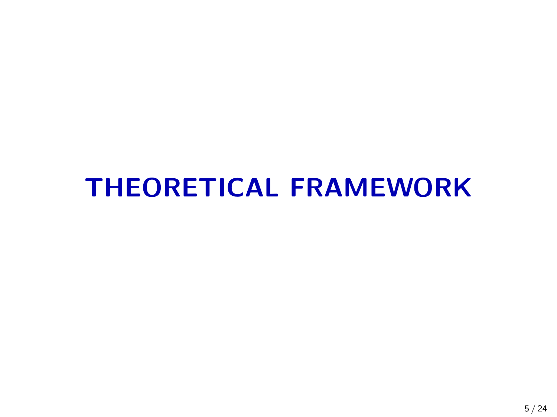# THEORETICAL FRAMEWORK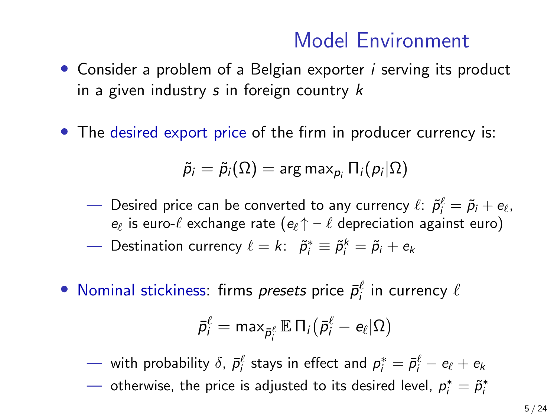### Model Environment

- Consider a problem of a Belgian exporter *i* serving its product in a given industry  $s$  in foreign country  $k$
- The desired export price of the firm in producer currency is:

$$
\widetilde{p}_i=\widetilde{p}_i(\Omega)=\mathsf{arg\,max}_{p_i}\, \Pi_i(p_i|\Omega)
$$

- Desired price can be converted to any currency  $\ell\colon\tilde{\rho}_i^\ell=\tilde{\rho}_i+e_\ell,$  $e_{\ell}$  is euro- $\ell$  exchange rate  $(e_{\ell} \uparrow - \ell$  depreciation against euro)
- Destination currency  $\ell = k$ :  $\tilde{p}_i^* \equiv \tilde{p}_i^k = \tilde{p}_i + e_k$
- Nominal stickiness: firms *presets* price  $\bar{p}_i^{\ell}$  in currency  $\ell$

$$
\bar{p}_i^{\ell} = \max_{\bar{p}_i^{\ell}} \mathbb{E} \, \Pi_i \big( \bar{p}_i^{\ell} - e_{\ell} | \Omega \big)
$$

 $-$  with probability  $\delta$ ,  $\bar p_i^\ell$  stays in effect and  $p_i^* = \bar p_i^\ell - e_\ell + e_k$ 

 $-$  otherwise, the price is adjusted to its desired level,  $p_i^* = \tilde{p}_i^*$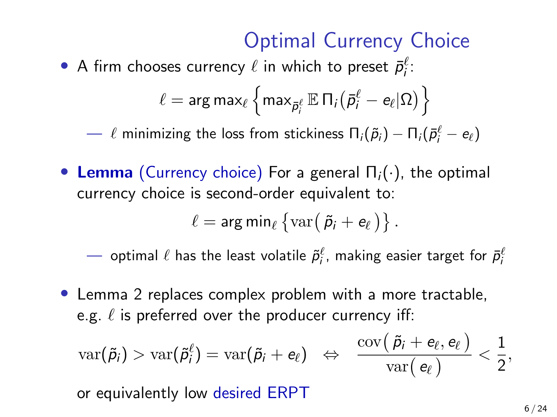### Optimal Currency Choice

• A firm chooses currency  $\ell$  in which to preset  $\bar{p}_i^{\ell}$ :

$$
\ell = \text{arg}\max_{\ell} \left\{\text{max}_{\bar{\pmb{\rho}}_i^{\ell}} \mathbb{E}\, \Pi_i \big(\bar{\pmb{\rho}}_i^{\ell} - \textbf{e}_{\ell} | \Omega\big) \right\}
$$

 $\;\longrightarrow\; \ell$  minimizing the loss from stickiness  $\Pi_i(\tilde{\rho}_i) - \Pi_i(\bar{\rho}_i^\ell - e_\ell)$ 

• Lemma (Currency choice) For a general  $\Pi_i(\cdot)$ , the optimal currency choice is second-order equivalent to:

$$
\ell = \arg\min_{\ell} \left\{ \mathrm{var}(\tilde{p}_i + e_{\ell}) \right\}.
$$

 $-$  optimal  $\ell$  has the least volatile  $\tilde{p}_i^\ell$ , making easier target for  $\bar{p}_i^\ell$ 

• Lemma 2 replaces complex problem with a more tractable, e.g.  $\ell$  is preferred over the producer currency iff:

$$
\text{var}(\tilde{\rho}_i) > \text{var}(\tilde{\rho}_i^\ell) = \text{var}(\tilde{\rho}_i + e_\ell) \;\; \Leftrightarrow \;\; \frac{\text{cov}(\,\tilde{\rho}_i + e_\ell, e_\ell\,)}{\text{var}(\,e_\ell\,)} < \frac{1}{2},
$$

or equivalently low desired ERPT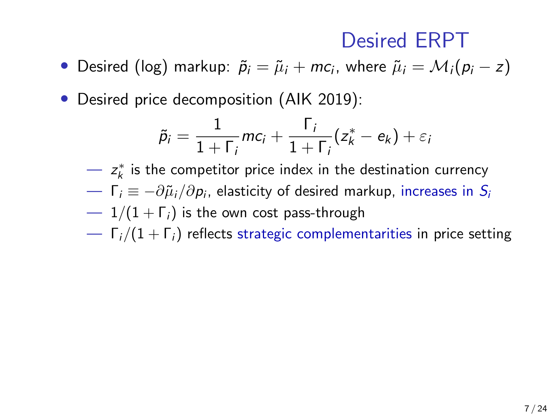### Desired ERPT

- Desired (log) markup:  $\tilde{p}_i = \tilde{\mu}_i + mc_i$ , where  $\tilde{\mu}_i = \mathcal{M}_i(p_i z)$
- Desired price decomposition (AIK 2019):

$$
\tilde{p}_i = \frac{1}{1+\Gamma_i}mc_i + \frac{\Gamma_i}{1+\Gamma_i}(z_k^* - e_k) + \varepsilon_i
$$

 $-z_k^*$  is the competitor price index in the destination currency

- $\;\;\;\;\;\;\;\;\;\;\;=\!-\!\partial \tilde{\mu}_i/\partial p_i$ , elasticity of desired markup, increases in  $\mathcal{S}_i$
- $1/(1 + \Gamma_i)$  is the own cost pass-through
- $\Gamma_i/(1+\Gamma_i)$  reflects strategic complementarities in price setting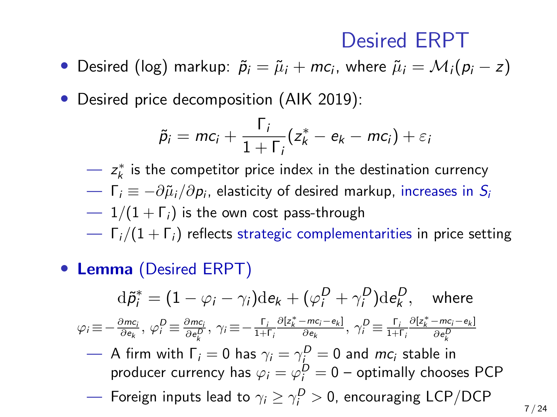### Desired ERPT

- Desired (log) markup:  $\tilde{p}_i = \tilde{\mu}_i + mc_i$ , where  $\tilde{\mu}_i = \mathcal{M}_i(p_i z)$
- Desired price decomposition (AIK 2019):

$$
\tilde{p}_i = mc_i + \frac{\Gamma_i}{1+\Gamma_i}(z_k^* - e_k - mc_i) + \varepsilon_i
$$

- $-z_k^*$  is the competitor price index in the destination currency
- $\;\;\;\;\;\;\;\;\;\;\;=\!-\!\partial \tilde{\mu}_i/\partial p_i$ , elasticity of desired markup, increases in  $\mathcal{S}_i$
- $1/(1 + \Gamma_i)$  is the own cost pass-through
- $\Gamma_i/(1 + \Gamma_i)$  reflects strategic complementarities in price setting
- Lemma (Desired ERPT)

$$
\mathrm{d}\tilde{p}_i^* = (1 - \varphi_i - \gamma_i)\mathrm{d}e_k + (\varphi_i^D + \gamma_i^D)\mathrm{d}e_k^D, \quad \text{where}
$$
\n
$$
\varphi_i \equiv -\frac{\partial m c_i}{\partial e_k}, \ \varphi_i^D \equiv \frac{\partial m c_i}{\partial e_k^D}, \ \gamma_i \equiv -\frac{\Gamma_i}{1 + \Gamma_i} \frac{\partial [z_k^* - m c_i - e_k]}{\partial e_k}, \ \gamma_i^D \equiv \frac{\Gamma_i}{1 + \Gamma_i} \frac{\partial [z_k^* - m c_i - e_k]}{\partial e_k^D}
$$

- $-$  A firm with  $\Gamma_i = 0$  has  $\gamma_i = \gamma \frac{D}{\Gamma} = 0$  and  $mc_i$  stable in producer currency has  $\varphi_i = \varphi_i^D = 0$  – optimally chooses PCP
- $-$  Foreign inputs lead to  $\gamma_i \geq \gamma_i^D > 0$ , encouraging LCP/DCP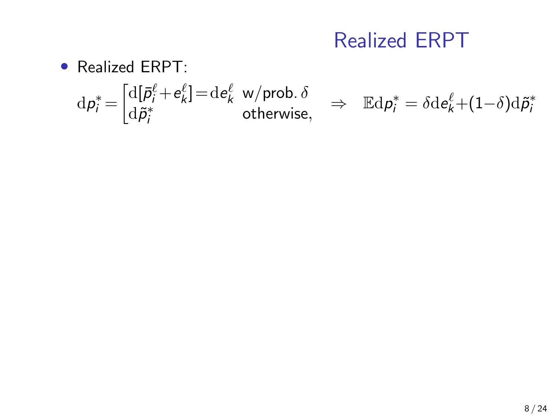### Realized ERPT

• Realized ERPT:

$$
\mathrm{d}p_i^* = \begin{bmatrix} \mathrm{d}[\bar{p}_i^{\ell} + e_k^{\ell}] = \mathrm{d}e_k^{\ell} & \text{w/prob.} \delta \\ \mathrm{d}\tilde{p}_i^* & \text{otherwise,} \end{bmatrix} \Rightarrow \quad \mathbb{E}\mathrm{d}p_i^* = \delta \mathrm{d}e_k^{\ell} + (1-\delta)\mathrm{d}\tilde{p}_i^*
$$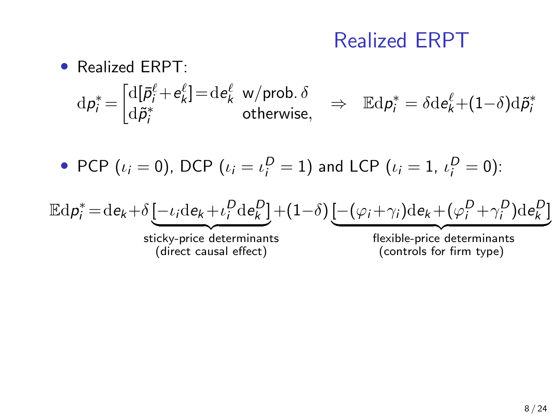### Realized ERPT

#### • Realized ERPT:

$$
\mathrm{d}p_i^* = \begin{bmatrix} \mathrm{d}[\bar{p}_i^{\ell} + e_k^{\ell}] = \mathrm{d}e_k^{\ell} & \mathrm{w/prob.} \delta \\ \mathrm{d}\tilde{p}_i^* & \mathrm{otherwise,} \end{bmatrix} \Rightarrow \quad \mathbb{E}\mathrm{d}p_i^* = \delta \mathrm{d}e_k^{\ell} + (1-\delta)\mathrm{d}\tilde{p}_i^*
$$

• PCP (
$$
\iota_i = 0
$$
), DCP ( $\iota_i = \iota_i^D = 1$ ) and LCP ( $\iota_i = 1$ ,  $\iota_i^D = 0$ ):

$$
\mathbb{E}\mathrm{d}p_i^* = \mathrm{d}e_k + \delta \left[ -\iota_i \mathrm{d}e_k + \iota_i^D \mathrm{d}e_k^D \right] + (1-\delta) \left[ -(\varphi_i + \gamma_i) \mathrm{d}e_k + (\varphi_i^D + \gamma_i^D) \mathrm{d}e_k^D \right]
$$

sticky-price determinants (direct causal effect)

flexible-price determinants (controls for firm type)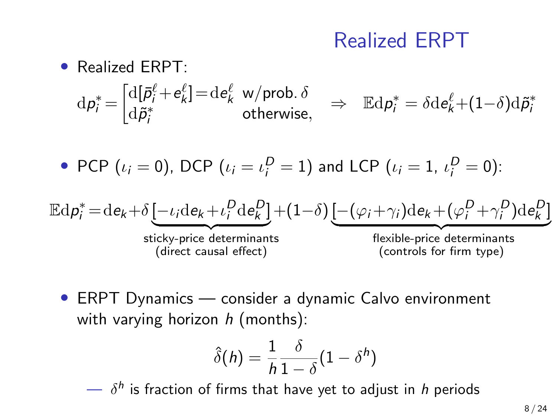### Realized ERPT

### • Realized ERPT:  $\mathrm{d}p_i^* = \begin{bmatrix} \mathrm{d} [\bar{\rho}_i^\ell \!+\! e_k^\ell] \! = \! \mathrm{d}e_k^\ell \!\! & \!\!\!\!\! \mathsf{w}/\mathsf{prob}.\, \delta_k \ \mathrm{d}\tilde{\rho}_i^* \!\! & \!\!\!\!\! \mathsf{otherwise} \end{bmatrix}$  $d\tilde{p}_i^* = d\tilde{e}_k \sqrt{\psi_p}$  w/prob.  $\omega \Rightarrow \mathbb{E} d p_i^* = \delta d e_k^{\ell} + (1-\delta) d \tilde{p}_i^*$ <br>d $\tilde{p}_i^*$

• PCP (
$$
\iota_i = 0
$$
), DCP ( $\iota_i = \iota_i^D = 1$ ) and LCP ( $\iota_i = 1$ ,  $\iota_i^D = 0$ ):

$$
\mathbb{E}\mathrm{d}p_i^* = \mathrm{d}e_k + \delta \underbrace{[-\iota_i \mathrm{d}e_k + \iota_i^D \mathrm{d}e_k^D]}_{\text{stick-price determinants}} + (1-\delta) \underbrace{[-(\varphi_i + \gamma_i) \mathrm{d}e_k + (\varphi_i^D + \gamma_i^D) \mathrm{d}e_k^D]}_{\text{flexible-price determinants}}
$$
\n
$$
\underbrace{\text{discrete terms}}_{\text{(controls for firm type)}}
$$

• ERPT Dynamics — consider a dynamic Calvo environment with varying horizon  $h$  (months):

$$
\hat{\delta}(h) = \frac{1}{h} \frac{\delta}{1 - \delta} (1 - \delta^h)
$$

 $\longrightarrow$   $\delta^h$  is fraction of firms that have yet to adjust in h periods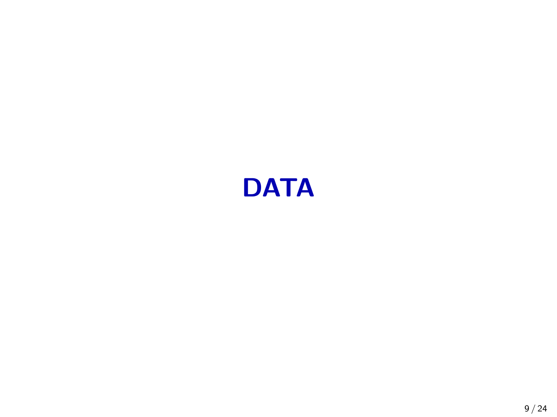# **DATA**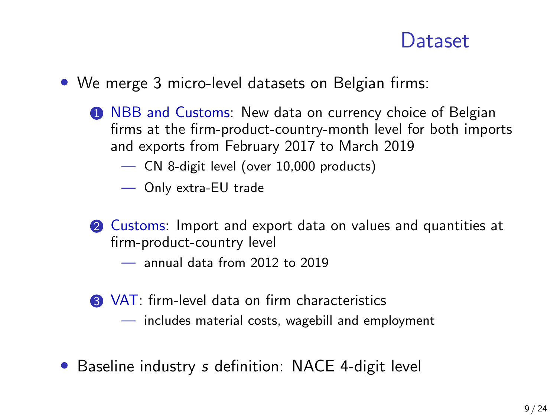### **Dataset**

- We merge 3 micro-level datasets on Belgian firms:
	- **1 NBB and Customs: New data on currency choice of Belgian** firms at the firm-product-country-month level for both imports and exports from February 2017 to March 2019
		- CN 8-digit level (over 10,000 products)
		- Only extra-EU trade
	- 2 Customs: Import and export data on values and quantities at firm-product-country level
		- annual data from 2012 to 2019
	- **3** VAT: firm-level data on firm characteristics
		- includes material costs, wagebill and employment
- Baseline industry s definition: NACE 4-digit level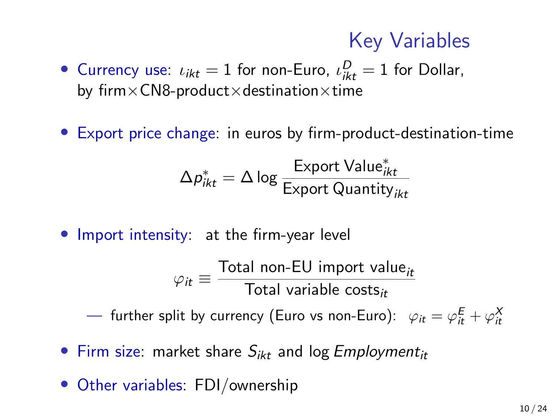### Key Variables

- Currency use:  $\iota_{ikt} = 1$  for non-Euro,  $\iota_{ikt}^D = 1$  for Dollar, by firm $\times$ CN8-product $\times$ destination $\times$ time
- Export price change: in euros by firm-product-destination-time

$$
\Delta p_{ikt}^* = \Delta \log \frac{\text{Expert Value}_{ikt}^*}{\text{Expert Quantity}_{ikt}}
$$

• Import intensity: at the firm-year level

$$
\varphi_{it} \equiv \frac{\text{Total non-EU import value}_{it}}{\text{Total variable costs}_{it}}
$$

 $-$  further split by currency (Euro vs non-Euro):  $\ \varphi_{it} = \varphi_{it}^{\mathsf{E}} + \varphi_{it}^{\mathsf{X}}$ 

- Firm size: market share  $S_{ikt}$  and log *Employment*<sub>it</sub>
- Other variables: FDI/ownership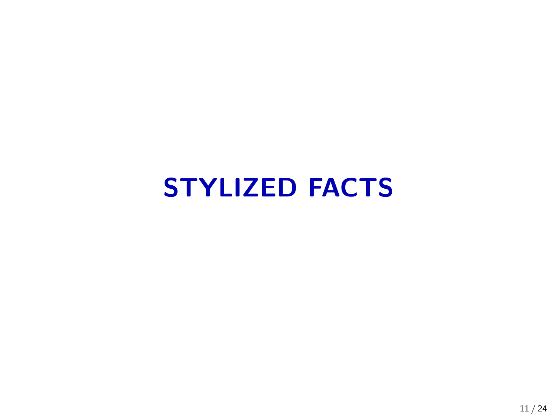# STYLIZED FACTS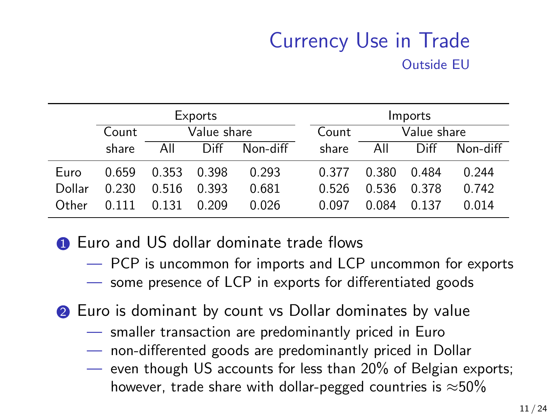### Currency Use in Trade Outside EU

|        | Exports |             |       |          |  |       | Imports     |         |          |  |  |
|--------|---------|-------------|-------|----------|--|-------|-------------|---------|----------|--|--|
|        | Count   | Value share |       |          |  | Count | Value share |         |          |  |  |
|        | share   | All         | Diff  | Non-diff |  | share | All         | Diff    | Non-diff |  |  |
| Euro   | 0.659   | 0.353       | 0.398 | 0.293    |  | 0.377 | 0.380       | 0.484   | 0.244    |  |  |
| Dollar | 0.230   | 0.516       | 0.393 | 0.681    |  | 0.526 | 0.536       | 0.378   | 0.742    |  |  |
| Other  | 0.111   | 0.131       | 0.209 | 0.026    |  | 0.097 | 0.084       | 0 1 3 7 | 0.014    |  |  |

**1** Euro and US dollar dominate trade flows

- PCP is uncommon for imports and LCP uncommon for exports
- some presence of LCP in exports for differentiated goods
- **2** Euro is dominant by count vs Dollar dominates by value
	- smaller transaction are predominantly priced in Euro
	- non-differented goods are predominantly priced in Dollar
	- even though US accounts for less than 20% of Belgian exports; however, trade share with dollar-pegged countries is  $\approx$ 50%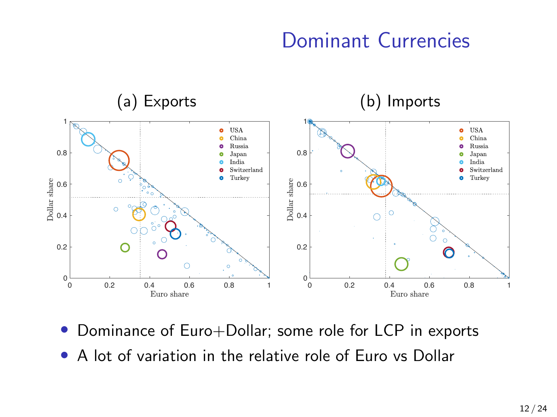### Dominant Currencies



- Dominance of Euro+Dollar; some role for LCP in exports
- A lot of variation in the relative role of Euro vs Dollar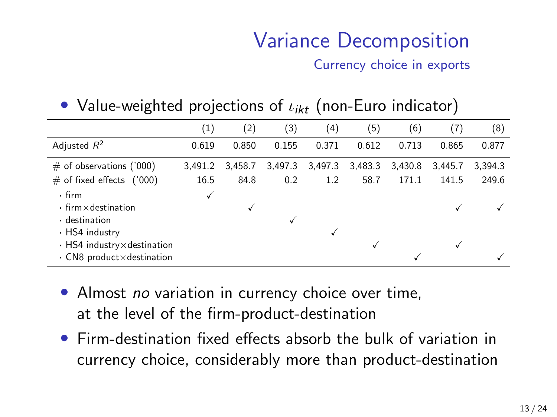### Variance Decomposition

Currency choice in exports

#### • Value-weighted projections of  $\iota_{ikt}$  (non-Euro indicator)

|                                                                                       | $\left(1\right)$ | (2)     | (3)     | (4)     | (5)     | (6)     | (7)     | (8)     |
|---------------------------------------------------------------------------------------|------------------|---------|---------|---------|---------|---------|---------|---------|
| Adjusted $R^2$                                                                        | 0.619            | 0.850   | 0.155   | 0.371   | 0.612   | 0.713   | 0.865   | 0.877   |
| $\#$ of observations ('000)                                                           | 3.491.2          | 3.458.7 | 3,497.3 | 3,497.3 | 3,483.3 | 3,430.8 | 3.445.7 | 3.394.3 |
| $\#$ of fixed effects ('000)                                                          | 16.5             | 84.8    | 0.2     | 1.2     | 58.7    | 171.1   | 141.5   | 249.6   |
| $\cdot$ firm<br>$\cdot$ firm $\times$ destination                                     |                  | v       |         |         |         |         |         |         |
| $\cdot$ destination<br>• HS4 industry                                                 |                  |         |         |         |         |         |         |         |
| $\cdot$ HS4 industry $\times$ destination<br>$\cdot$ CN8 product $\times$ destination |                  |         |         |         |         |         | √       |         |

- Almost no variation in currency choice over time, at the level of the firm-product-destination
- Firm-destination fixed effects absorb the bulk of variation in currency choice, considerably more than product-destination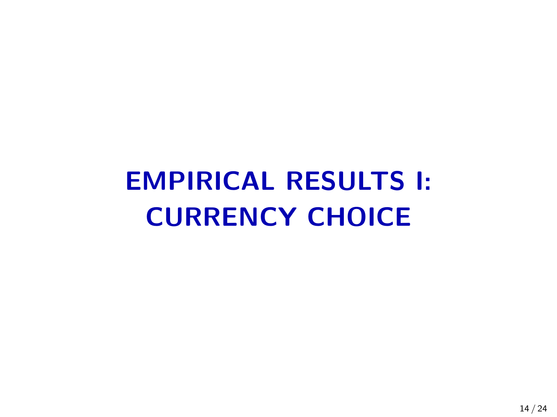# EMPIRICAL RESULTS I: CURRENCY CHOICE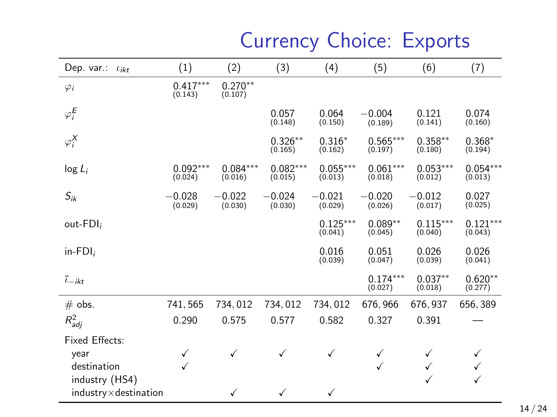## Currency Choice: Exports

| Dep. var.:<br>$l_{ikt}$       | (1)                   | (2)                   | (3)                   | (4)                   | (5)                   | (6)                   | (7)                   |
|-------------------------------|-----------------------|-----------------------|-----------------------|-----------------------|-----------------------|-----------------------|-----------------------|
| $\varphi_i$                   | $0.417***$<br>(0.143) | $0.270**$<br>(0.107)  |                       |                       |                       |                       |                       |
| $\varphi_i^E$                 |                       |                       | 0.057<br>(0.148)      | 0.064<br>(0.150)      | $-0.004$<br>(0.189)   | 0.121<br>(0.141)      | 0.074<br>(0.160)      |
| $\varphi_i^{\sf X}$           |                       |                       | $0.326**$<br>(0.165)  | $0.316*$<br>(0.162)   | $0.565***$<br>(0.197) | $0.358**$<br>(0.180)  | $0.368*$<br>(0.194)   |
| $log L_i$                     | $0.092***$<br>(0.024) | $0.084***$<br>(0.016) | $0.082***$<br>(0.015) | $0.055***$<br>(0.013) | $0.061***$<br>(0.018) | $0.053***$<br>(0.012) | $0.054***$<br>(0.013) |
| $S_{ik}$                      | $-0.028$<br>(0.029)   | $-0.022$<br>(0.030)   | $-0.024$<br>(0.030)   | $-0.021$<br>(0.029)   | $-0.020$<br>(0.026)   | $-0.012$<br>(0.017)   | 0.027<br>(0.025)      |
| out-FDI;                      |                       |                       |                       | $0.125***$<br>(0.041) | $0.089**$<br>(0.045)  | $0.115***$<br>(0.040) | $0.121***$<br>(0.043) |
| $in$ -FDI;                    |                       |                       |                       | 0.016<br>(0.039)      | 0.051<br>(0.047)      | 0.026<br>(0.039)      | 0.026<br>(0.041)      |
| $\bar{t}_{-ikt}$              |                       |                       |                       |                       | $0.174***$<br>(0.027) | $0.037**$<br>(0.018)  | $0.620**$<br>(0.277)  |
| $#$ obs.                      | 741,565               | 734,012               | 734,012               | 734,012               | 676, 966              | 676, 937              | 656,389               |
| $R_{adj}^2$                   | 0.290                 | 0.575                 | 0.577                 | 0.582                 | 0.327                 | 0.391                 |                       |
| Fixed Effects:                |                       |                       |                       |                       |                       |                       |                       |
| year                          | ✓                     | $\checkmark$          | $\checkmark$          | ✓                     | ✓                     | ✓                     | ✓                     |
| destination                   | ✓                     |                       |                       |                       | ✓                     | ✓                     | ✓                     |
| industry (HS4)                |                       |                       |                       |                       |                       | $\checkmark$          | ✓                     |
| $industry \times destination$ |                       | ✓                     | ✓                     | ✓                     |                       |                       |                       |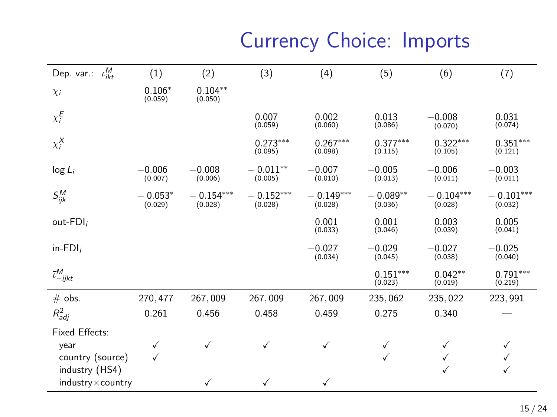## Currency Choice: Imports

| $\iota_{ikt}^M$<br>Dep. var.:      | (1)                  | (2)                    | (3)                    | (4)                    | (5)                   | (6)                    | (7)                    |
|------------------------------------|----------------------|------------------------|------------------------|------------------------|-----------------------|------------------------|------------------------|
| $\chi_i$                           | $0.106*$<br>(0.059)  | $0.104**$<br>(0.050)   |                        |                        |                       |                        |                        |
| $\chi_i^{\pmb{E}}$                 |                      |                        | 0.007<br>(0.059)       | 0.002<br>(0.060)       | 0.013<br>(0.086)      | $-0.008$<br>(0.070)    | 0.031<br>(0.074)       |
| $\chi_i^X$                         |                      |                        | $0.273***$<br>(0.095)  | $0.267***$<br>(0.098)  | $0.377***$<br>(0.115) | $0.322***$<br>(0.105)  | $0.351***$<br>(0.121)  |
| $log L_i$                          | $-0.006$<br>(0.007)  | $-0.008$<br>(0.006)    | $-0.011**$<br>(0.005)  | $-0.007$<br>(0.010)    | $-0.005$<br>(0.013)   | $-0.006$<br>(0.011)    | $-0.003$<br>(0.011)    |
| $S^M_{ijk}$                        | $-0.053*$<br>(0.029) | $-0.154***$<br>(0.028) | $-0.152***$<br>(0.028) | $-0.149***$<br>(0.028) | $-0.089**$<br>(0.036) | $-0.104***$<br>(0.028) | $-0.101***$<br>(0.032) |
| out-FDI;                           |                      |                        |                        | 0.001<br>(0.033)       | 0.001<br>(0.046)      | 0.003<br>(0.039)       | 0.005<br>(0.041)       |
| $in$ -FDI;                         |                      |                        |                        | $-0.027$<br>(0.034)    | $-0.029$<br>(0.045)   | $-0.027$<br>(0.038)    | $-0.025$<br>(0.040)    |
| $\bar{\iota}^M_{-ijkt}$            |                      |                        |                        |                        | $0.151***$<br>(0.023) | $0.042**$<br>(0.019)   | $0.791***$<br>(0.219)  |
| $#$ obs.                           | 270, 477             | 267,009                | 267,009                | 267,009                | 235,062               | 235, 022               | 223, 991               |
| $R_{adj}^2$                        | 0.261                | 0.456                  | 0.458                  | 0.459                  | 0.275                 | 0.340                  |                        |
| <b>Fixed Effects:</b>              |                      |                        |                        |                        |                       |                        |                        |
| year                               | √                    | ✓                      | ✓                      | ✓                      | √                     | √                      | ✓                      |
| country (source)                   | ✓                    |                        |                        |                        | ✓                     |                        | ✓                      |
| industry (HS4)<br>industry×country |                      | ✓                      | ✓                      | ✓                      |                       |                        | ✓                      |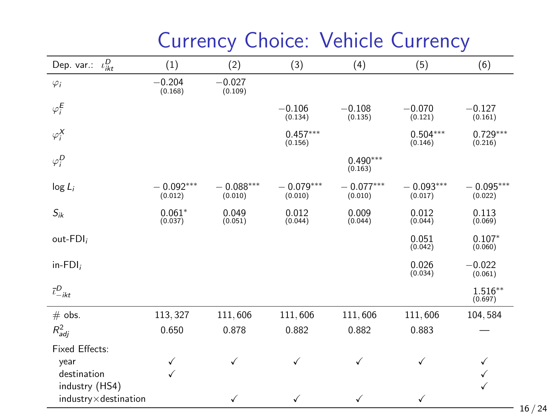| $\iota^D_{ikt}$<br>Dep. var.: | (1)                    | (2)                    | (3)                    | (4)                    | (5)                    | (6)                    |
|-------------------------------|------------------------|------------------------|------------------------|------------------------|------------------------|------------------------|
| $\varphi_i$                   | $-0.204$<br>(0.168)    | $-0.027$<br>(0.109)    |                        |                        |                        |                        |
| $\varphi_i^E$                 |                        |                        | $-0.106$<br>(0.134)    | $-0.108$<br>(0.135)    | $-0.070$<br>(0.121)    | $-0.127$<br>(0.161)    |
| $\varphi_i^X$                 |                        |                        | $0.457***$<br>(0.156)  |                        | $0.504***$<br>(0.146)  | $0.729***$<br>(0.216)  |
| $\varphi_i^D$                 |                        |                        |                        | $0.490***$<br>(0.163)  |                        |                        |
| $log L_i$                     | $-0.092***$<br>(0.012) | $-0.088***$<br>(0.010) | $-0.079***$<br>(0.010) | $-0.077***$<br>(0.010) | $-0.093***$<br>(0.017) | $-0.095***$<br>(0.022) |
| $S_{ik}$                      | $0.061*$<br>(0.037)    | 0.049<br>(0.051)       | 0.012<br>(0.044)       | 0.009<br>(0.044)       | 0.012<br>(0.044)       | 0.113<br>(0.069)       |
| out-FDI;                      |                        |                        |                        |                        | 0.051<br>(0.042)       | $0.107*$<br>(0.060)    |
| $in$ -FDI;                    |                        |                        |                        |                        | 0.026<br>(0.034)       | $-0.022$<br>(0.061)    |
| $\bar{\iota}^D_{-ikt}$        |                        |                        |                        |                        |                        | $1.516**$<br>(0.697)   |
| $#$ obs.                      | 113, 327               | 111,606                | 111,606                | 111,606                | 111,606                | 104,584                |
| $R_{adj}^2$                   | 0.650                  | 0.878                  | 0.882                  | 0.882                  | 0.883                  |                        |
| <b>Fixed Effects:</b>         |                        |                        |                        |                        |                        |                        |
| year                          | ✓                      | ✓                      | ✓                      | ✓                      | $\checkmark$           | ✓                      |
| destination                   | ✓                      |                        |                        |                        |                        | ✓                      |
| industry (HS4)                |                        |                        |                        |                        |                        | ✓                      |
| $industry \times destination$ |                        | ✓                      | ✓                      | ✓                      | $\checkmark$           |                        |

### Currency Choice: Vehicle Currency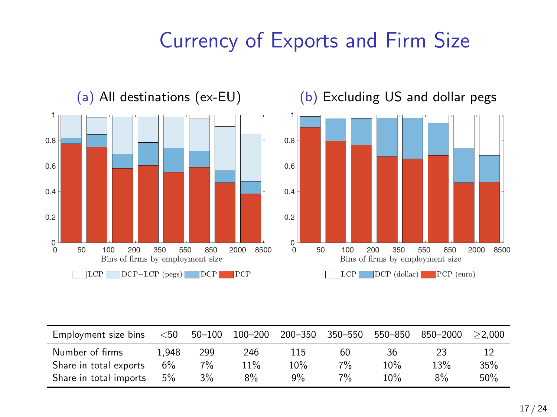### Currency of Exports and Firm Size



| Employment size bins   | $<$ 50 | $50 - 100$ | 100-200 | 200-350 | 350–550 | 550-850 | 850-2000 | >2.000 |
|------------------------|--------|------------|---------|---------|---------|---------|----------|--------|
| Number of firms        | .948   | 299        | 246     | 115     | 60      | 36      | 23       |        |
| Share in total exports | 6%     | $7\%$      | 11%     | 10%     | 7%      | 10%     | 13%      | 35%    |
| Share in total imports | 5%     | $3\%$      | $8\%$   | $9\%$   | $7\%$   | 10%     | $8\%$    | 50%    |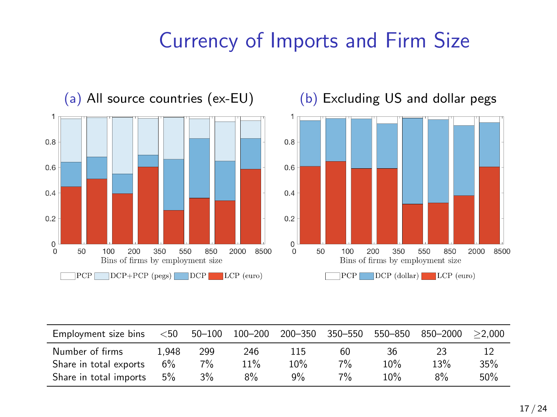### Currency of Imports and Firm Size



| Employment size bins   | $50$  | $50 - 100$ | $100 - 200$ | $200 - 350$ | 350-550 | 550-850 | 850-2000 | >2.000 |
|------------------------|-------|------------|-------------|-------------|---------|---------|----------|--------|
| Number of firms        | L.948 | 299        | 246         | 115         | 60      | 36      | 23       | 12     |
| Share in total exports | 6%    | $7\%$      | 11%         | 10%         | $7\%$   | 10%     | 13%      | 35%    |
| Share in total imports | 5%    | $3\%$      | 8%          | $9\%$       | $7\%$   | 10%     | 8%       | 50%    |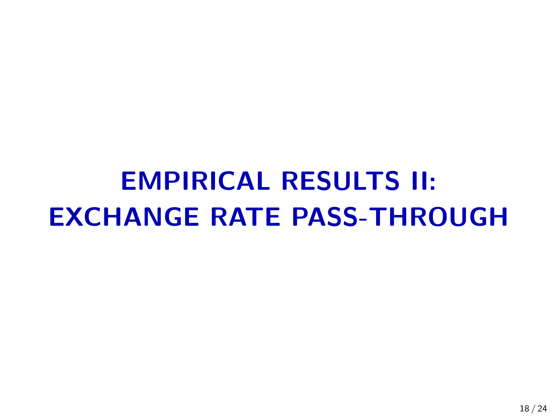# EMPIRICAL RESULTS II: EXCHANGE RATE PASS-THROUGH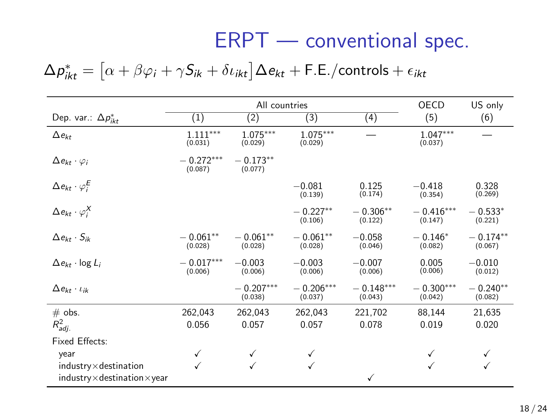### ERPT — conventional spec.

### $\Delta p_{ikt}^* = \left[ \alpha + \beta \varphi_i + \gamma S_{ik} + \delta \iota_{ikt} \right] \Delta e_{kt} + \mathsf{F}.\mathsf{E}$ ./controls +  $\epsilon_{ikt}$

|                                                                            |                        | All countries          |                        |                        | OECD                   | US only               |
|----------------------------------------------------------------------------|------------------------|------------------------|------------------------|------------------------|------------------------|-----------------------|
| Dep. var.: $\Delta p_{ikr}^*$                                              | (1)                    | (2)                    | (3)                    | (4)                    | (5)                    | (6)                   |
| $\Delta e_{kt}$                                                            | $1.111***$<br>(0.031)  | $1.075***$<br>(0.029)  | $1.075***$<br>(0.029)  |                        | $1.047***$<br>(0.037)  |                       |
| $\Delta e_{kt} \cdot \varphi_i$                                            | $-0.272***$<br>(0.087) | $-0.173**$<br>(0.077)  |                        |                        |                        |                       |
| $\Delta e_{kt} \cdot \varphi_i^E$                                          |                        |                        | $-0.081$<br>(0.139)    | 0.125<br>(0.174)       | $-0.418$<br>(0.354)    | 0.328<br>(0.269)      |
| $\Delta e_{kt} \cdot \varphi_i^X$                                          |                        |                        | $-0.227**$<br>(0.106)  | $-0.306**$<br>(0.122)  | $-0.416***$<br>(0.147) | $-0.533*$<br>(0.221)  |
| $\Delta e_{kt} \cdot S_{ik}$                                               | $-0.061**$<br>(0.028)  | $-0.061**$<br>(0.028)  | $-0.061**$<br>(0.028)  | $-0.058$<br>(0.046)    | $-0.146*$<br>(0.082)   | $-0.174**$<br>(0.067) |
| $\Delta e_{kt}$ · log $L_i$                                                | $-0.017***$<br>(0.006) | $-0.003$<br>(0.006)    | $-0.003$<br>(0.006)    | $-0.007$<br>(0.006)    | 0.005<br>(0.006)       | $-0.010$<br>(0.012)   |
| $\Delta e_{kt} \cdot \iota_{ik}$                                           |                        | $-0.207***$<br>(0.038) | $-0.206***$<br>(0.037) | $-0.148***$<br>(0.043) | $-0.300***$<br>(0.042) | $-0.240**$<br>(0.082) |
| $#$ obs.<br>$R_{adj.}^2$                                                   | 262,043<br>0.056       | 262,043<br>0.057       | 262,043<br>0.057       | 221,702<br>0.078       | 88,144<br>0.019        | 21,635<br>0.020       |
| Fixed Effects:                                                             |                        |                        |                        |                        |                        |                       |
| year                                                                       | ✓                      | ✓                      | ✓                      |                        |                        | ✓                     |
| $industry \times destination$<br>$industry \times destination \times year$ |                        |                        |                        | ✓                      | √                      | ✓                     |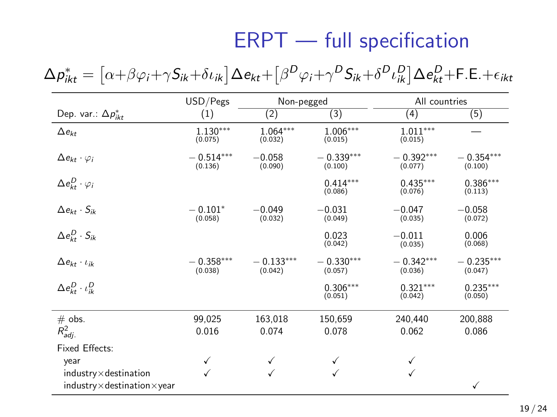### ERPT — full specification

 $\Delta p_{ikt}^* = \left[ \alpha{\rm +}\beta\varphi_i{\rm +}\gamma{\rm S}_{ik}{\rm +}\delta\iota_{ik}\right] \Delta e_{kt} {\rm +}\left[ \beta^D\varphi_i{\rm +}\gamma^D{\rm S}_{ik}{\rm +}\delta^D\iota^D_{ik}\right] \Delta e_{kt}^D{\rm +}$ F.E. $+ \epsilon_{ikt}$ 

|                                                                            | USD/Pegs               | Non-pegged             |                        | All countries          |                        |
|----------------------------------------------------------------------------|------------------------|------------------------|------------------------|------------------------|------------------------|
| Dep. var.: $\Delta p_{ikt}^*$                                              | (1)                    | (2)                    | (3)                    | (4)                    | (5)                    |
| $\Delta e_{kt}$                                                            | $1.130***$<br>(0.075)  | $1.064***$<br>(0.032)  | $1.006***$<br>(0.015)  | $1.011***$<br>(0.015)  |                        |
| $\Delta e_{kt} \cdot \varphi_i$                                            | $-0.514***$<br>(0.136) | $-0.058$<br>(0.090)    | $-0.339***$<br>(0.100) | $-0.392***$<br>(0.077) | $-0.354***$<br>(0.100) |
| $\Delta e^{D}_{kt} \cdot \varphi_i$                                        |                        |                        | $0.414***$<br>(0.086)  | $0.435***$<br>(0.076)  | $0.386***$<br>(0.113)  |
| $\Delta e_{kt} \cdot S_{ik}$                                               | $-0.101*$<br>(0.058)   | $-0.049$<br>(0.032)    | $-0.031$<br>(0.049)    | $-0.047$<br>(0.035)    | $-0.058$<br>(0.072)    |
| $\Delta e_{kt}^D \cdot S_{ik}$                                             |                        |                        | 0.023<br>(0.042)       | $-0.011$<br>(0.035)    | 0.006<br>(0.068)       |
| $\Delta e_{kt} \cdot \iota_{ik}$                                           | $-0.358***$<br>(0.038) | $-0.133***$<br>(0.042) | $-0.330***$<br>(0.057) | $-0.342***$<br>(0.036) | $-0.235***$<br>(0.047) |
| $\Delta e_{kt}^D \cdot \iota_{ik}^D$                                       |                        |                        | $0.306***$<br>(0.051)  | $0.321***$<br>(0.042)  | $0.235***$<br>(0.050)  |
| $#$ obs.                                                                   | 99,025                 | 163,018                | 150,659                | 240,440                | 200,888                |
| $R_{adj.}^2$                                                               | 0.016                  | 0.074                  | 0.078                  | 0.062                  | 0.086                  |
| Fixed Effects:                                                             |                        |                        |                        |                        |                        |
| year                                                                       | ✓                      |                        | ✓                      | ✓                      |                        |
| $industry \times destination$<br>$industry \times destination \times year$ | $\checkmark$           |                        | ✓                      | ✓                      | ✓                      |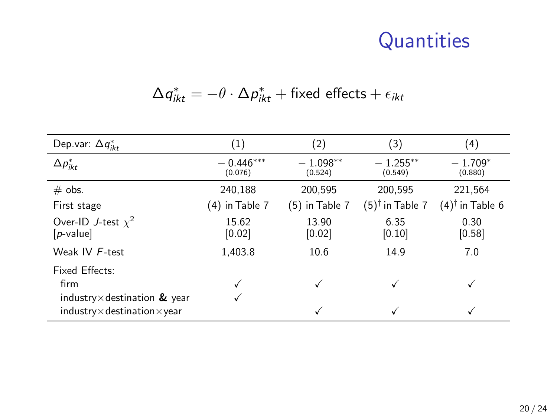### **Quantities**

$$
\Delta q^*_{ikt} = -\theta \cdot \Delta p^*_{ikt} + \text{fixed effects} + \epsilon_{ikt}
$$

| Dep.var: $\Delta q_{ikt}^*$                                       | (1)                    | (2)                   | (3)                        | (4)                           |
|-------------------------------------------------------------------|------------------------|-----------------------|----------------------------|-------------------------------|
| $\Delta p_{ikt}^*$                                                | $-0.446***$<br>(0.076) | $-1.098**$<br>(0.524) | $-1.255***$<br>(0.549)     | $-1.709*$<br>(0.880)          |
| $#$ obs.                                                          | 240,188                | 200,595               | 200,595                    | 221.564                       |
| First stage                                                       | (4) in Table 7         | $(5)$ in Table 7      | $(5)^{\dagger}$ in Table 7 | $(4)$ <sup>†</sup> in Table 6 |
| Over-ID J-test $\chi^2$<br>$[p-value]$                            | 15.62<br>[0.02]        | 13.90<br>[0.02]       | 6.35<br>[0.10]             | 0.30<br>[0.58]                |
| Weak IV F-test                                                    | 1.403.8                | 10.6                  | 14.9                       | 7.0                           |
| Fixed Effects:<br>firm<br>industry $\times$ destination $\&$ year |                        |                       | √                          |                               |
| $industry \times destination \times year$                         |                        |                       | ✓                          |                               |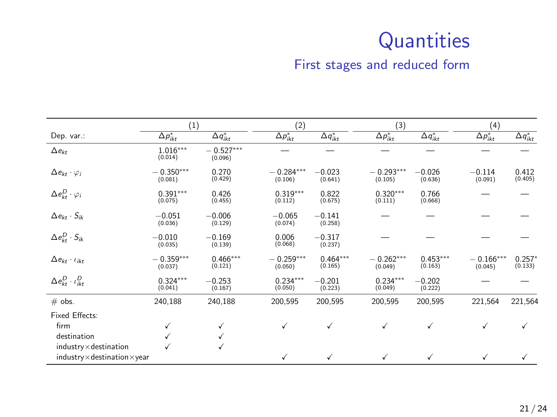### **Quantities**

#### First stages and reduced form

|                                           | (1)                    |                        | (2)                           |                       | (3)                    |                               | (4)                    |                     |
|-------------------------------------------|------------------------|------------------------|-------------------------------|-----------------------|------------------------|-------------------------------|------------------------|---------------------|
| Dep. var.:                                | $\Delta p_{ikt}^*$     | $\Delta q_{ikt}^*$     | $\overline{\Delta p_{ikt}^*}$ | $\Delta q^*_{ikt}$    | $\Delta p_{ikt}^*$     | $\overline{\Delta q^*_{ikt}}$ | $\Delta p_{ikt}^*$     | $\Delta q_{ikt}^*$  |
| $\Delta e_{kt}$                           | $1.016***$<br>(0.014)  | $-0.527***$<br>(0.096) |                               |                       |                        |                               |                        |                     |
| $\Delta e_{kt} \cdot \varphi_i$           | $-0.350***$<br>(0.081) | 0.270<br>(0.429)       | $-0.284***$<br>(0.106)        | $-0.023$<br>(0.641)   | $-0.293***$<br>(0.105) | $-0.026$<br>(0.636)           | $-0.114$<br>(0.091)    | 0.412<br>(0.405)    |
| $\Delta e^{D}_{kt} \cdot \varphi_i$       | $0.391***$<br>(0.075)  | 0.426<br>(0.455)       | $0.319***$<br>(0.112)         | 0.822<br>(0.675)      | $0.320***$<br>(0.111)  | 0.766<br>(0.668)              |                        |                     |
| $\Delta e_{kt} \cdot S_{ik}$              | $-0.051$<br>(0.036)    | $-0.006$<br>(0.129)    | $-0.065$<br>(0.074)           | $-0.141$<br>(0.258)   |                        |                               |                        |                     |
| $\Delta e^{D}_{kt} \cdot S_{ik}$          | $-0.010$<br>(0.035)    | $-0.169$<br>(0.139)    | 0.006<br>(0.068)              | $-0.317$<br>(0.237)   |                        |                               |                        |                     |
| $\Delta e_{kt} \cdot \iota_{ikt}$         | $-0.359***$<br>(0.037) | $0.466***$<br>(0.121)  | $-0.259***$<br>(0.050)        | $0.464***$<br>(0.165) | $-0.262***$<br>(0.049) | $0.453***$<br>(0.163)         | $-0.166***$<br>(0.045) | $0.257*$<br>(0.133) |
| $\Delta e^{D}_{kt} \cdot \iota^{D}_{ikt}$ | $0.324***$<br>(0.041)  | $-0.253$<br>(0.167)    | $0.234***$<br>(0.050)         | $-0.201$<br>(0.223)   | $0.234***$<br>(0.049)  | $-0.202$<br>(0.222)           |                        |                     |
| $#$ obs.                                  | 240,188                | 240,188                | 200,595                       | 200,595               | 200,595                | 200,595                       | 221,564                | 221,564             |
| <b>Fixed Effects:</b>                     |                        |                        |                               |                       |                        |                               |                        |                     |
| firm                                      | ✓                      | ✓                      | ✓                             | √                     | ✓                      | ✓                             | ✓                      |                     |
| destination                               | ✓                      | ✓                      |                               |                       |                        |                               |                        |                     |
| $industry \times destination$             |                        | ✓                      |                               |                       |                        |                               |                        |                     |
| $industry \times destination \times year$ |                        |                        | ✓                             | ✓                     | ✓                      | ✓                             | ✓                      |                     |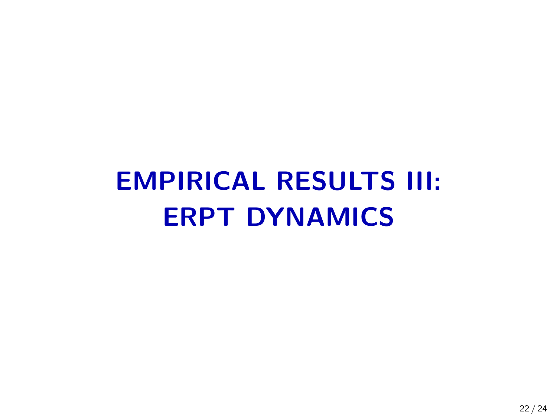# EMPIRICAL RESULTS III: ERPT DYNAMICS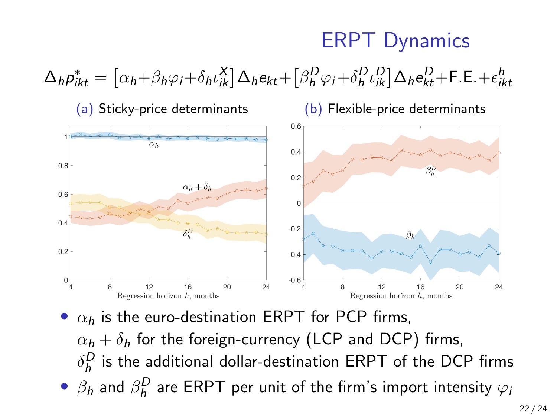### ERPT Dynamics





•  $\alpha_h$  is the euro-destination ERPT for PCP firms,  $\alpha_h + \delta_h$  for the foreign-currency (LCP and DCP) firms,  $\delta_h^D$  is the additional dollar-destination ERPT of the DCP firms  $\bullet$   $\beta_h$  and  $\beta_h^D$  are ERPT per unit of the firm's import intensity  $\varphi_h$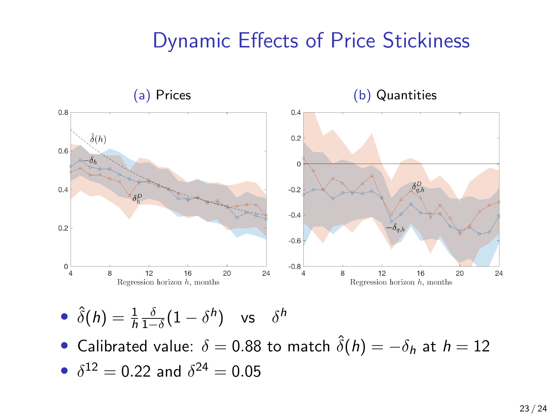### Dynamic Effects of Price Stickiness



• 
$$
\hat{\delta}(h) = \frac{1}{h} \frac{\delta}{1-\delta} (1-\delta^h)
$$
 vs  $\delta^h$ 

• Calibrated value:  $\delta = 0.88$  to match  $\hat{\delta}(h) = -\delta_h$  at  $h = 12$ 

• 
$$
\delta^{12} = 0.22
$$
 and  $\delta^{24} = 0.05$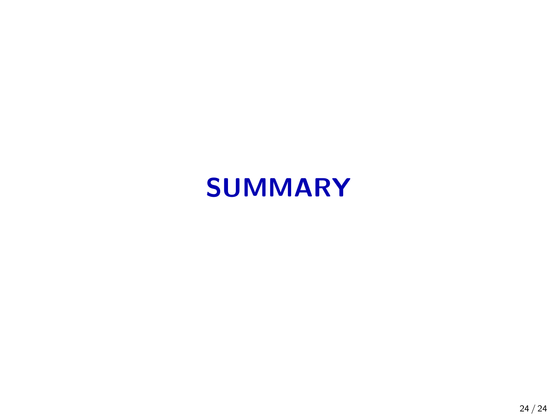# SUMMARY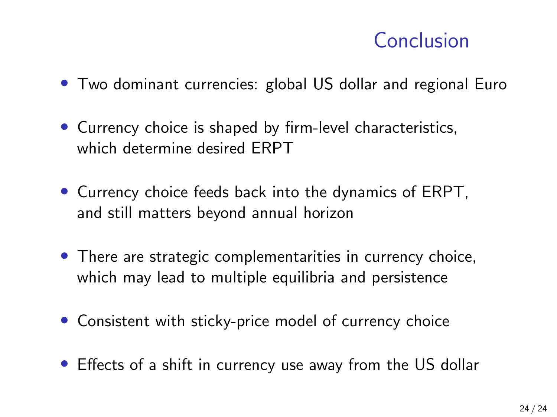### Conclusion

- Two dominant currencies: global US dollar and regional Euro
- Currency choice is shaped by firm-level characteristics, which determine desired ERPT
- Currency choice feeds back into the dynamics of ERPT, and still matters beyond annual horizon
- There are strategic complementarities in currency choice, which may lead to multiple equilibria and persistence
- Consistent with sticky-price model of currency choice
- Effects of a shift in currency use away from the US dollar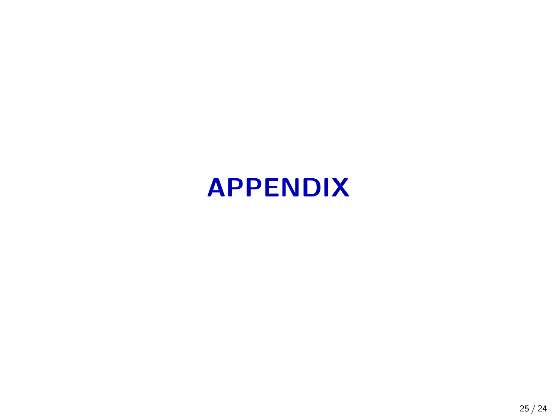# APPENDIX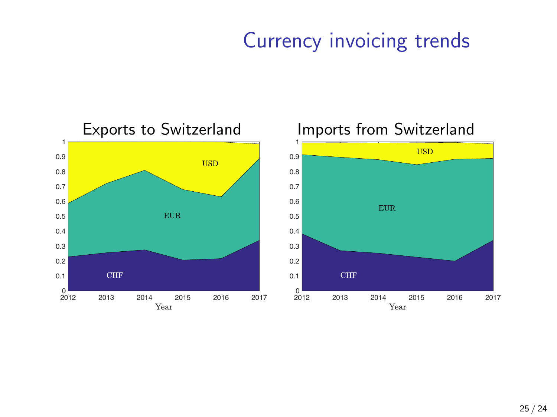### Currency invoicing trends